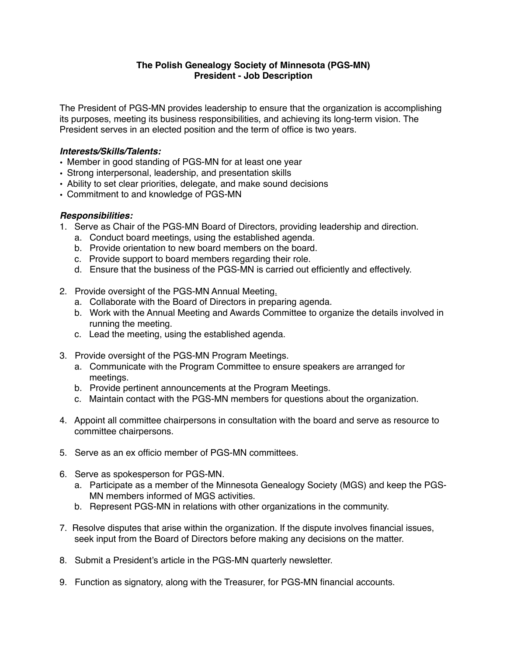## **The Polish Genealogy Society of Minnesota (PGS-MN) President - Job Description**

The President of PGS-MN provides leadership to ensure that the organization is accomplishing its purposes, meeting its business responsibilities, and achieving its long-term vision. The President serves in an elected position and the term of office is two years.

## *Interests/Skills/Talents:*

- Member in good standing of PGS-MN for at least one year
- Strong interpersonal, leadership, and presentation skills
- Ability to set clear priorities, delegate, and make sound decisions
- Commitment to and knowledge of PGS-MN

## *Responsibilities:*

- 1. Serve as Chair of the PGS-MN Board of Directors, providing leadership and direction.
	- a. Conduct board meetings, using the established agenda.
	- b. Provide orientation to new board members on the board.
	- c. Provide support to board members regarding their role.
	- d. Ensure that the business of the PGS-MN is carried out efficiently and effectively.
- 2. Provide oversight of the PGS-MN Annual Meeting.
	- a. Collaborate with the Board of Directors in preparing agenda.
	- b. Work with the Annual Meeting and Awards Committee to organize the details involved in running the meeting.
	- c. Lead the meeting, using the established agenda.
- 3. Provide oversight of the PGS-MN Program Meetings.
	- a. Communicate with the Program Committee to ensure speakers are arranged for meetings.
	- b. Provide pertinent announcements at the Program Meetings.
	- c. Maintain contact with the PGS-MN members for questions about the organization.
- 4. Appoint all committee chairpersons in consultation with the board and serve as resource to committee chairpersons.
- 5. Serve as an ex officio member of PGS-MN committees.
- 6. Serve as spokesperson for PGS-MN.
	- a. Participate as a member of the Minnesota Genealogy Society (MGS) and keep the PGS-MN members informed of MGS activities.
	- b. Represent PGS-MN in relations with other organizations in the community.
- 7. Resolve disputes that arise within the organization. If the dispute involves financial issues, seek input from the Board of Directors before making any decisions on the matter.
- 8. Submit a President's article in the PGS-MN quarterly newsletter.
- 9. Function as signatory, along with the Treasurer, for PGS-MN financial accounts.